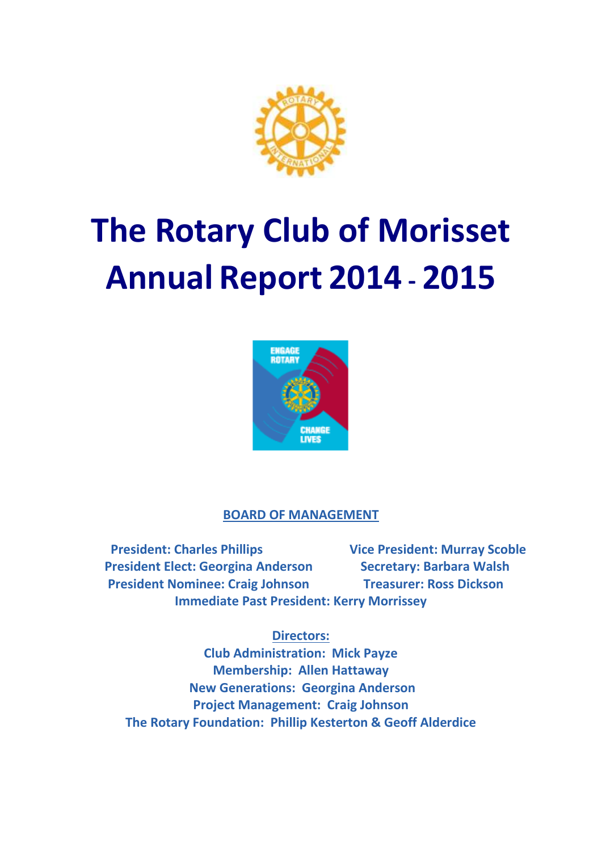

# **The Rotary Club of Morisset Annual Report 2014 - 2015**



# **BOARD OF MANAGEMENT**

**President: Charles Phillips Vice President: Murray Scoble President Elect: Georgina Anderson Secretary: Barbara Walsh President Nominee: Craig Johnson Treasurer: Ross Dickson Immediate Past President: Kerry Morrissey**

# **Directors:**

**Club Administration: Mick Payze Membership: Allen Hattaway New Generations: Georgina Anderson Project Management: Craig Johnson The Rotary Foundation: Phillip Kesterton & Geoff Alderdice**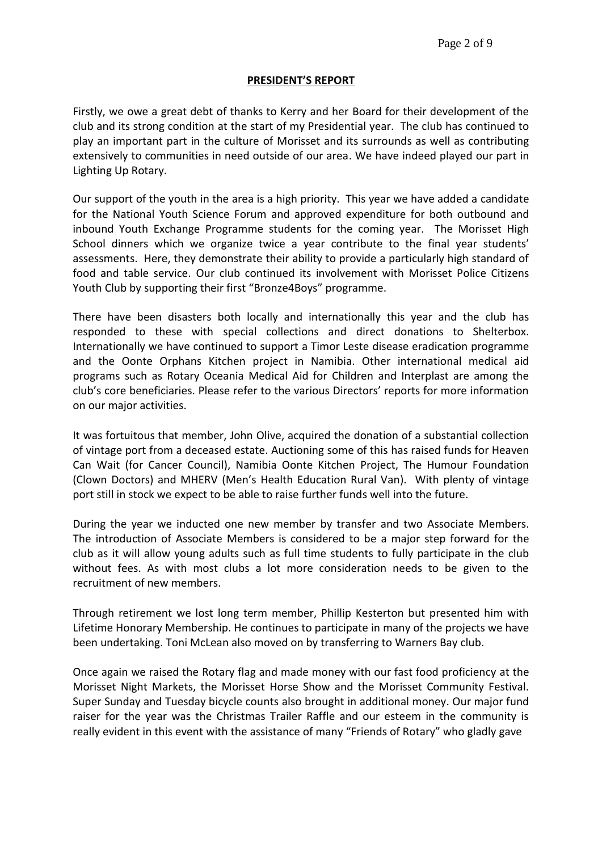## **PRESIDENT'S REPORT**

Firstly, we owe a great debt of thanks to Kerry and her Board for their development of the club and its strong condition at the start of my Presidential year. The club has continued to play an important part in the culture of Morisset and its surrounds as well as contributing extensively to communities in need outside of our area. We have indeed played our part in Lighting Up Rotary.

Our support of the youth in the area is a high priority. This year we have added a candidate for the National Youth Science Forum and approved expenditure for both outbound and inbound Youth Exchange Programme students for the coming year. The Morisset High School dinners which we organize twice a year contribute to the final year students' assessments. Here, they demonstrate their ability to provide a particularly high standard of food and table service. Our club continued its involvement with Morisset Police Citizens Youth Club by supporting their first "Bronze4Boys" programme.

There have been disasters both locally and internationally this year and the club has responded to these with special collections and direct donations to Shelterbox. Internationally we have continued to support a Timor Leste disease eradication programme and the Oonte Orphans Kitchen project in Namibia. Other international medical aid programs such as Rotary Oceania Medical Aid for Children and Interplast are among the club's core beneficiaries. Please refer to the various Directors' reports for more information on our major activities.

It was fortuitous that member, John Olive, acquired the donation of a substantial collection of vintage port from a deceased estate. Auctioning some of this has raised funds for Heaven Can Wait (for Cancer Council), Namibia Oonte Kitchen Project, The Humour Foundation (Clown Doctors) and MHERV (Men's Health Education Rural Van). With plenty of vintage port still in stock we expect to be able to raise further funds well into the future.

During the year we inducted one new member by transfer and two Associate Members. The introduction of Associate Members is considered to be a major step forward for the club as it will allow young adults such as full time students to fully participate in the club without fees. As with most clubs a lot more consideration needs to be given to the recruitment of new members.

Through retirement we lost long term member, Phillip Kesterton but presented him with Lifetime Honorary Membership. He continues to participate in many of the projects we have been undertaking. Toni McLean also moved on by transferring to Warners Bay club.

Once again we raised the Rotary flag and made money with our fast food proficiency at the Morisset Night Markets, the Morisset Horse Show and the Morisset Community Festival. Super Sunday and Tuesday bicycle counts also brought in additional money. Our major fund raiser for the year was the Christmas Trailer Raffle and our esteem in the community is really evident in this event with the assistance of many "Friends of Rotary" who gladly gave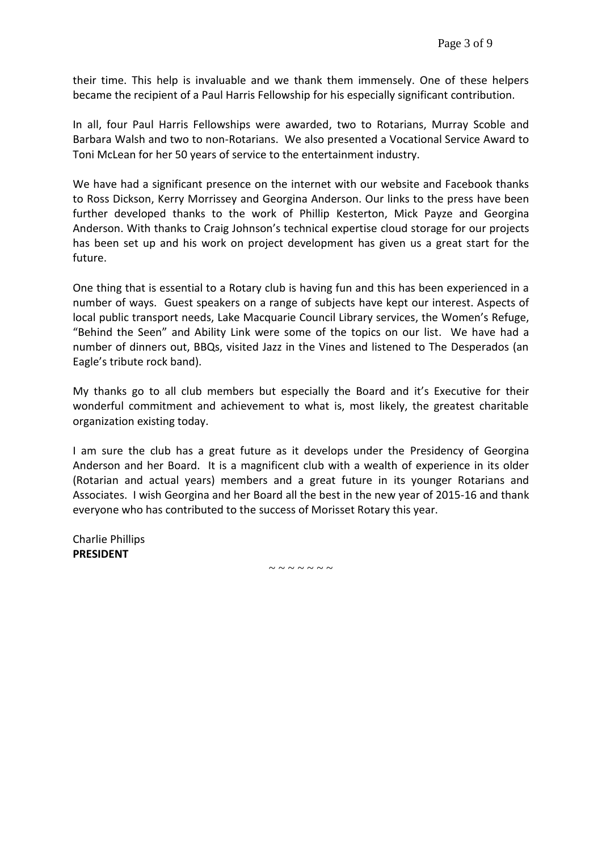their time. This help is invaluable and we thank them immensely. One of these helpers became the recipient of a Paul Harris Fellowship for his especially significant contribution.

In all, four Paul Harris Fellowships were awarded, two to Rotarians, Murray Scoble and Barbara Walsh and two to non-Rotarians. We also presented a Vocational Service Award to Toni McLean for her 50 years of service to the entertainment industry.

We have had a significant presence on the internet with our website and Facebook thanks to Ross Dickson, Kerry Morrissey and Georgina Anderson. Our links to the press have been further developed thanks to the work of Phillip Kesterton, Mick Payze and Georgina Anderson. With thanks to Craig Johnson's technical expertise cloud storage for our projects has been set up and his work on project development has given us a great start for the future.

One thing that is essential to a Rotary club is having fun and this has been experienced in a number of ways. Guest speakers on a range of subjects have kept our interest. Aspects of local public transport needs, Lake Macquarie Council Library services, the Women's Refuge, "Behind the Seen" and Ability Link were some of the topics on our list. We have had a number of dinners out, BBQs, visited Jazz in the Vines and listened to The Desperados (an Eagle's tribute rock band).

My thanks go to all club members but especially the Board and it's Executive for their wonderful commitment and achievement to what is, most likely, the greatest charitable organization existing today.

I am sure the club has a great future as it develops under the Presidency of Georgina Anderson and her Board. It is a magnificent club with a wealth of experience in its older (Rotarian and actual years) members and a great future in its younger Rotarians and Associates. I wish Georgina and her Board all the best in the new year of 2015-16 and thank everyone who has contributed to the success of Morisset Rotary this year.

Charlie Phillips **PRESIDENT** 

 $\sim$  ~ ~ ~ ~ ~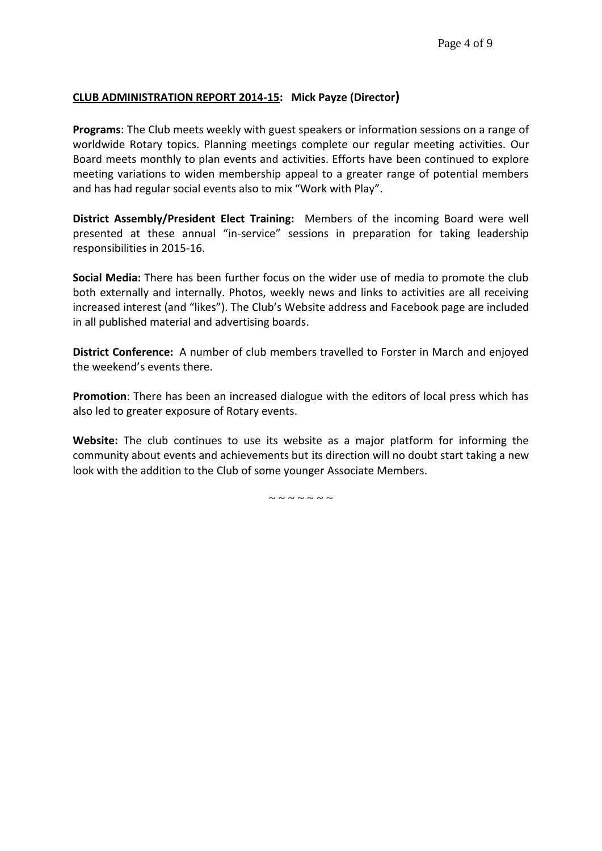# **CLUB ADMINISTRATION REPORT 2014-15: Mick Payze (Director)**

**Programs**: The Club meets weekly with guest speakers or information sessions on a range of worldwide Rotary topics. Planning meetings complete our regular meeting activities. Our Board meets monthly to plan events and activities. Efforts have been continued to explore meeting variations to widen membership appeal to a greater range of potential members and has had regular social events also to mix "Work with Play".

**District Assembly/President Elect Training:** Members of the incoming Board were well presented at these annual "in-service" sessions in preparation for taking leadership responsibilities in 2015-16.

**Social Media:** There has been further focus on the wider use of media to promote the club both externally and internally. Photos, weekly news and links to activities are all receiving increased interest (and "likes"). The Club's Website address and Facebook page are included in all published material and advertising boards.

**District Conference:** A number of club members travelled to Forster in March and enjoyed the weekend's events there.

**Promotion**: There has been an increased dialogue with the editors of local press which has also led to greater exposure of Rotary events.

**Website:** The club continues to use its website as a major platform for informing the community about events and achievements but its direction will no doubt start taking a new look with the addition to the Club of some younger Associate Members.

 $\sim$   $\sim$   $\sim$   $\sim$   $\sim$   $\sim$   $\sim$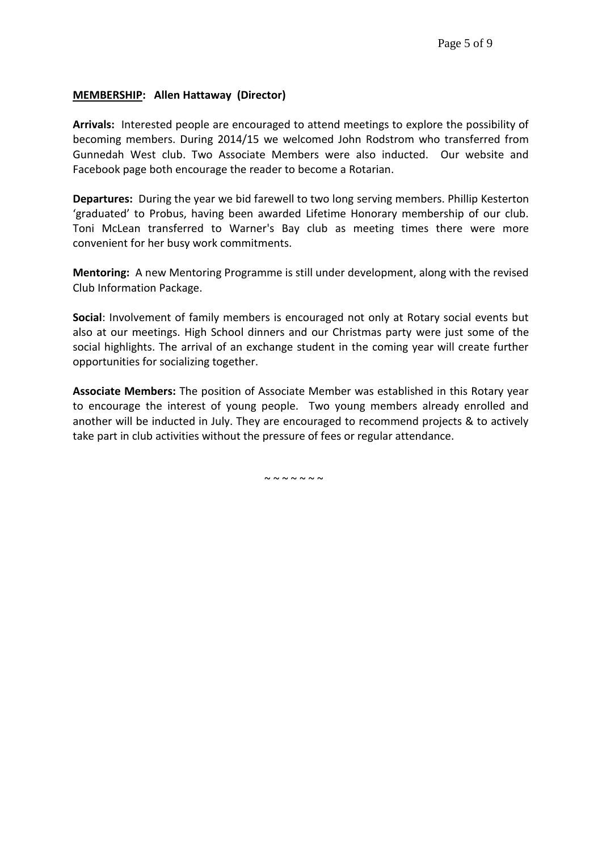#### **MEMBERSHIP: Allen Hattaway (Director)**

**Arrivals:** Interested people are encouraged to attend meetings to explore the possibility of becoming members. During 2014/15 we welcomed John Rodstrom who transferred from Gunnedah West club. Two Associate Members were also inducted. Our website and Facebook page both encourage the reader to become a Rotarian.

**Departures:** During the year we bid farewell to two long serving members. Phillip Kesterton 'graduated' to Probus, having been awarded Lifetime Honorary membership of our club. Toni McLean transferred to Warner's Bay club as meeting times there were more convenient for her busy work commitments.

**Mentoring:** A new Mentoring Programme is still under development, along with the revised Club Information Package.

**Social**: Involvement of family members is encouraged not only at Rotary social events but also at our meetings. High School dinners and our Christmas party were just some of the social highlights. The arrival of an exchange student in the coming year will create further opportunities for socializing together.

**Associate Members:** The position of Associate Member was established in this Rotary year to encourage the interest of young people. Two young members already enrolled and another will be inducted in July. They are encouraged to recommend projects & to actively take part in club activities without the pressure of fees or regular attendance.

 $\sim$   $\sim$   $\sim$   $\sim$   $\sim$   $\sim$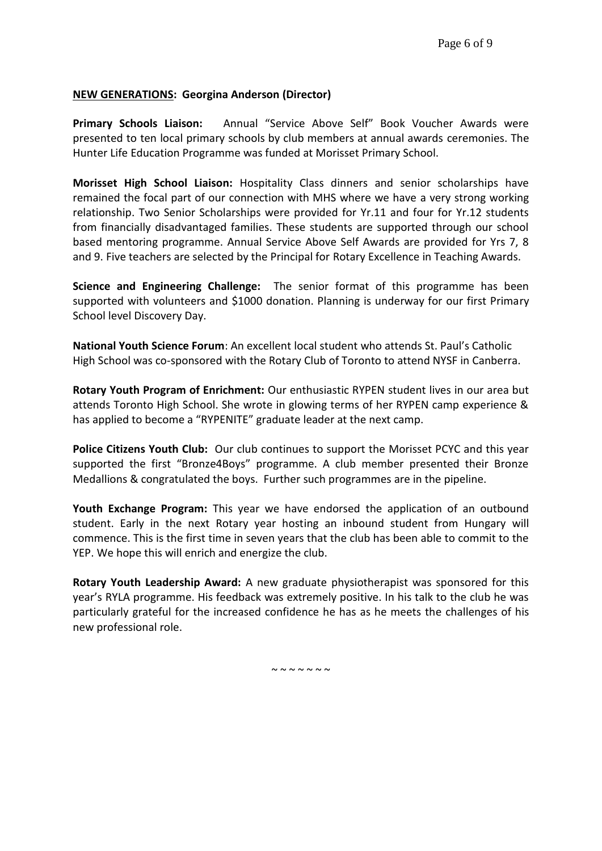# **NEW GENERATIONS: Georgina Anderson (Director)**

**Primary Schools Liaison:** Annual "Service Above Self" Book Voucher Awards were presented to ten local primary schools by club members at annual awards ceremonies. The Hunter Life Education Programme was funded at Morisset Primary School.

**Morisset High School Liaison:** Hospitality Class dinners and senior scholarships have remained the focal part of our connection with MHS where we have a very strong working relationship. Two Senior Scholarships were provided for Yr.11 and four for Yr.12 students from financially disadvantaged families. These students are supported through our school based mentoring programme. Annual Service Above Self Awards are provided for Yrs 7, 8 and 9. Five teachers are selected by the Principal for Rotary Excellence in Teaching Awards.

**Science and Engineering Challenge:** The senior format of this programme has been supported with volunteers and \$1000 donation. Planning is underway for our first Primary School level Discovery Day.

**National Youth Science Forum**: An excellent local student who attends St. Paul's Catholic High School was co-sponsored with the Rotary Club of Toronto to attend NYSF in Canberra.

**Rotary Youth Program of Enrichment:** Our enthusiastic RYPEN student lives in our area but attends Toronto High School. She wrote in glowing terms of her RYPEN camp experience & has applied to become a "RYPENITE" graduate leader at the next camp.

**Police Citizens Youth Club:** Our club continues to support the Morisset PCYC and this year supported the first "Bronze4Boys" programme. A club member presented their Bronze Medallions & congratulated the boys. Further such programmes are in the pipeline.

**Youth Exchange Program:** This year we have endorsed the application of an outbound student. Early in the next Rotary year hosting an inbound student from Hungary will commence. This is the first time in seven years that the club has been able to commit to the YEP. We hope this will enrich and energize the club.

**Rotary Youth Leadership Award:** A new graduate physiotherapist was sponsored for this year's RYLA programme. His feedback was extremely positive. In his talk to the club he was particularly grateful for the increased confidence he has as he meets the challenges of his new professional role.

 $\sim$   $\sim$   $\sim$   $\sim$   $\sim$   $\sim$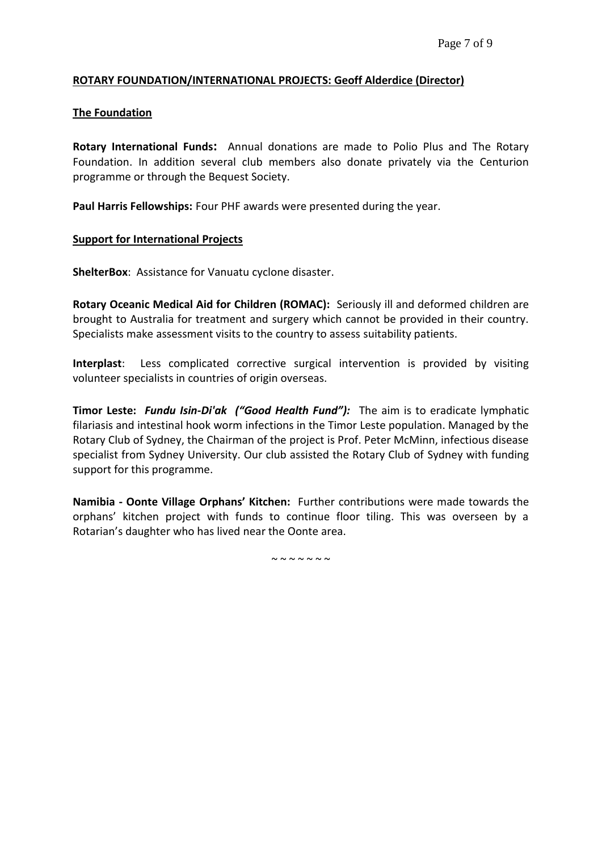### **ROTARY FOUNDATION/INTERNATIONAL PROJECTS: Geoff Alderdice (Director)**

### **The Foundation**

**Rotary International Funds:** Annual donations are made to Polio Plus and The Rotary Foundation. In addition several club members also donate privately via the Centurion programme or through the Bequest Society.

**Paul Harris Fellowships:** Four PHF awards were presented during the year.

#### **Support for International Projects**

**ShelterBox**: Assistance for Vanuatu cyclone disaster.

**Rotary Oceanic Medical Aid for Children (ROMAC):** Seriously ill and deformed children are brought to Australia for treatment and surgery which cannot be provided in their country. Specialists make assessment visits to the country to assess suitability patients.

**Interplast**: Less complicated corrective surgical intervention is provided by visiting volunteer specialists in countries of origin overseas.

**Timor Leste:** *Fundu Isin-Di'ak ("Good Health Fund"):* The aim is to eradicate lymphatic filariasis and intestinal hook worm infections in the Timor Leste population. Managed by the Rotary Club of Sydney, the Chairman of the project is Prof. Peter McMinn, infectious disease specialist from Sydney University. Our club assisted the Rotary Club of Sydney with funding support for this programme.

**Namibia - Oonte Village Orphans' Kitchen:** Further contributions were made towards the orphans' kitchen project with funds to continue floor tiling. This was overseen by a Rotarian's daughter who has lived near the Oonte area.

~~~~~~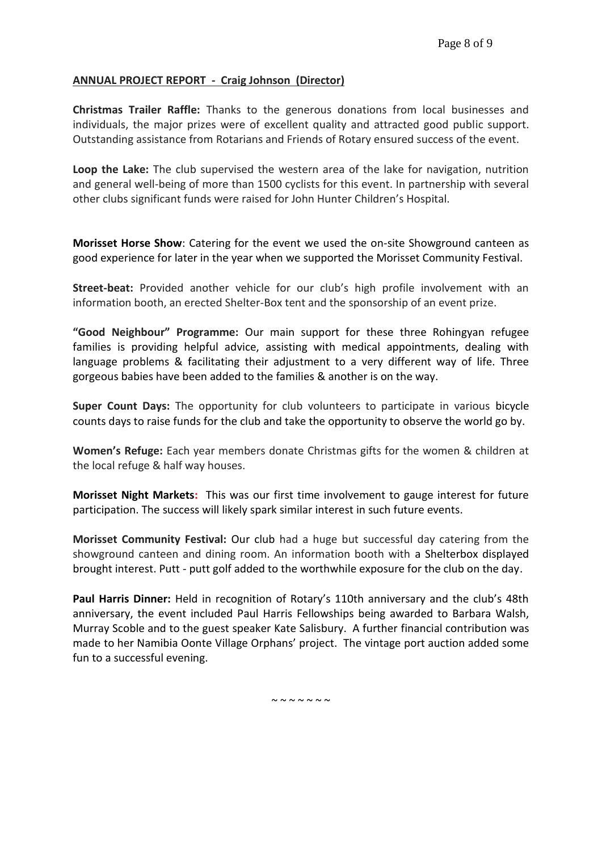# **ANNUAL PROJECT REPORT - Craig Johnson (Director)**

**Christmas Trailer Raffle:** Thanks to the generous donations from local businesses and individuals, the major prizes were of excellent quality and attracted good public support. Outstanding assistance from Rotarians and Friends of Rotary ensured success of the event.

**Loop the Lake:** The club supervised the western area of the lake for navigation, nutrition and general well-being of more than 1500 cyclists for this event. In partnership with several other clubs significant funds were raised for John Hunter Children's Hospital.

**Morisset Horse Show**: Catering for the event we used the on-site Showground canteen as good experience for later in the year when we supported the Morisset Community Festival.

**Street-beat:** Provided another vehicle for our club's high profile involvement with an information booth, an erected Shelter-Box tent and the sponsorship of an event prize.

**"Good Neighbour" Programme:** Our main support for these three Rohingyan refugee families is providing helpful advice, assisting with medical appointments, dealing with language problems & facilitating their adjustment to a very different way of life. Three gorgeous babies have been added to the families & another is on the way.

**Super Count Days:** The opportunity for club volunteers to participate in various bicycle counts days to raise funds for the club and take the opportunity to observe the world go by.

**Women's Refuge:** Each year members donate Christmas gifts for the women & children at the local refuge & half way houses.

**Morisset Night Markets:** This was our first time involvement to gauge interest for future participation. The success will likely spark similar interest in such future events.

**Morisset Community Festival:** Our club had a huge but successful day catering from the showground canteen and dining room. An information booth with a Shelterbox displayed brought interest. Putt - putt golf added to the worthwhile exposure for the club on the day.

**Paul Harris Dinner:** Held in recognition of Rotary's 110th anniversary and the club's 48th anniversary, the event included Paul Harris Fellowships being awarded to Barbara Walsh, Murray Scoble and to the guest speaker Kate Salisbury. A further financial contribution was made to her Namibia Oonte Village Orphans' project. The vintage port auction added some fun to a successful evening.

 $\sim$   $\sim$   $\sim$   $\sim$   $\sim$   $\sim$